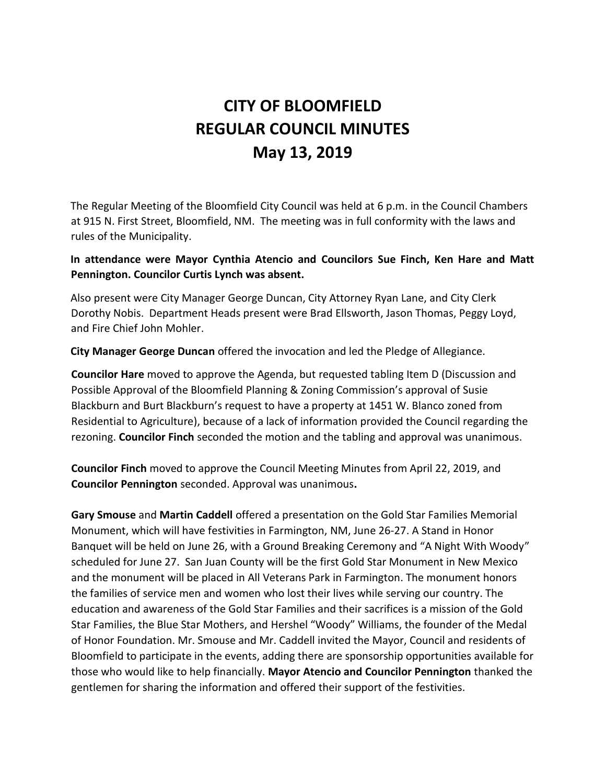# **CITY OF BLOOMFIELD REGULAR COUNCIL MINUTES May 13, 2019**

The Regular Meeting of the Bloomfield City Council was held at 6 p.m. in the Council Chambers at 915 N. First Street, Bloomfield, NM. The meeting was in full conformity with the laws and rules of the Municipality.

## **In attendance were Mayor Cynthia Atencio and Councilors Sue Finch, Ken Hare and Matt Pennington. Councilor Curtis Lynch was absent.**

Also present were City Manager George Duncan, City Attorney Ryan Lane, and City Clerk Dorothy Nobis. Department Heads present were Brad Ellsworth, Jason Thomas, Peggy Loyd, and Fire Chief John Mohler.

**City Manager George Duncan** offered the invocation and led the Pledge of Allegiance.

**Councilor Hare** moved to approve the Agenda, but requested tabling Item D (Discussion and Possible Approval of the Bloomfield Planning & Zoning Commission's approval of Susie Blackburn and Burt Blackburn's request to have a property at 1451 W. Blanco zoned from Residential to Agriculture), because of a lack of information provided the Council regarding the rezoning. **Councilor Finch** seconded the motion and the tabling and approval was unanimous.

**Councilor Finch** moved to approve the Council Meeting Minutes from April 22, 2019, and **Councilor Pennington** seconded. Approval was unanimous**.**

**Gary Smouse** and **Martin Caddell** offered a presentation on the Gold Star Families Memorial Monument, which will have festivities in Farmington, NM, June 26-27. A Stand in Honor Banquet will be held on June 26, with a Ground Breaking Ceremony and "A Night With Woody" scheduled for June 27. San Juan County will be the first Gold Star Monument in New Mexico and the monument will be placed in All Veterans Park in Farmington. The monument honors the families of service men and women who lost their lives while serving our country. The education and awareness of the Gold Star Families and their sacrifices is a mission of the Gold Star Families, the Blue Star Mothers, and Hershel "Woody" Williams, the founder of the Medal of Honor Foundation. Mr. Smouse and Mr. Caddell invited the Mayor, Council and residents of Bloomfield to participate in the events, adding there are sponsorship opportunities available for those who would like to help financially. **Mayor Atencio and Councilor Pennington** thanked the gentlemen for sharing the information and offered their support of the festivities.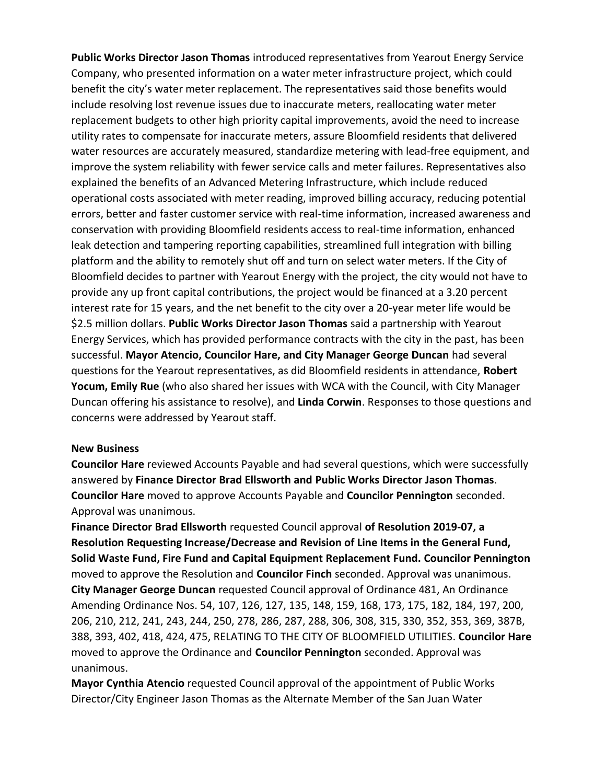**Public Works Director Jason Thomas** introduced representatives from Yearout Energy Service Company, who presented information on a water meter infrastructure project, which could benefit the city's water meter replacement. The representatives said those benefits would include resolving lost revenue issues due to inaccurate meters, reallocating water meter replacement budgets to other high priority capital improvements, avoid the need to increase utility rates to compensate for inaccurate meters, assure Bloomfield residents that delivered water resources are accurately measured, standardize metering with lead-free equipment, and improve the system reliability with fewer service calls and meter failures. Representatives also explained the benefits of an Advanced Metering Infrastructure, which include reduced operational costs associated with meter reading, improved billing accuracy, reducing potential errors, better and faster customer service with real-time information, increased awareness and conservation with providing Bloomfield residents access to real-time information, enhanced leak detection and tampering reporting capabilities, streamlined full integration with billing platform and the ability to remotely shut off and turn on select water meters. If the City of Bloomfield decides to partner with Yearout Energy with the project, the city would not have to provide any up front capital contributions, the project would be financed at a 3.20 percent interest rate for 15 years, and the net benefit to the city over a 20-year meter life would be \$2.5 million dollars. **Public Works Director Jason Thomas** said a partnership with Yearout Energy Services, which has provided performance contracts with the city in the past, has been successful. **Mayor Atencio, Councilor Hare, and City Manager George Duncan** had several questions for the Yearout representatives, as did Bloomfield residents in attendance, **Robert Yocum, Emily Rue** (who also shared her issues with WCA with the Council, with City Manager Duncan offering his assistance to resolve), and **Linda Corwin**. Responses to those questions and concerns were addressed by Yearout staff.

#### **New Business**

**Councilor Hare** reviewed Accounts Payable and had several questions, which were successfully answered by **Finance Director Brad Ellsworth and Public Works Director Jason Thomas**. **Councilor Hare** moved to approve Accounts Payable and **Councilor Pennington** seconded. Approval was unanimous.

**Finance Director Brad Ellsworth** requested Council approval **of Resolution 2019-07, a Resolution Requesting Increase/Decrease and Revision of Line Items in the General Fund, Solid Waste Fund, Fire Fund and Capital Equipment Replacement Fund. Councilor Pennington** moved to approve the Resolution and **Councilor Finch** seconded. Approval was unanimous. **City Manager George Duncan** requested Council approval of Ordinance 481, An Ordinance Amending Ordinance Nos. 54, 107, 126, 127, 135, 148, 159, 168, 173, 175, 182, 184, 197, 200, 206, 210, 212, 241, 243, 244, 250, 278, 286, 287, 288, 306, 308, 315, 330, 352, 353, 369, 387B, 388, 393, 402, 418, 424, 475, RELATING TO THE CITY OF BLOOMFIELD UTILITIES. **Councilor Hare** moved to approve the Ordinance and **Councilor Pennington** seconded. Approval was unanimous.

**Mayor Cynthia Atencio** requested Council approval of the appointment of Public Works Director/City Engineer Jason Thomas as the Alternate Member of the San Juan Water